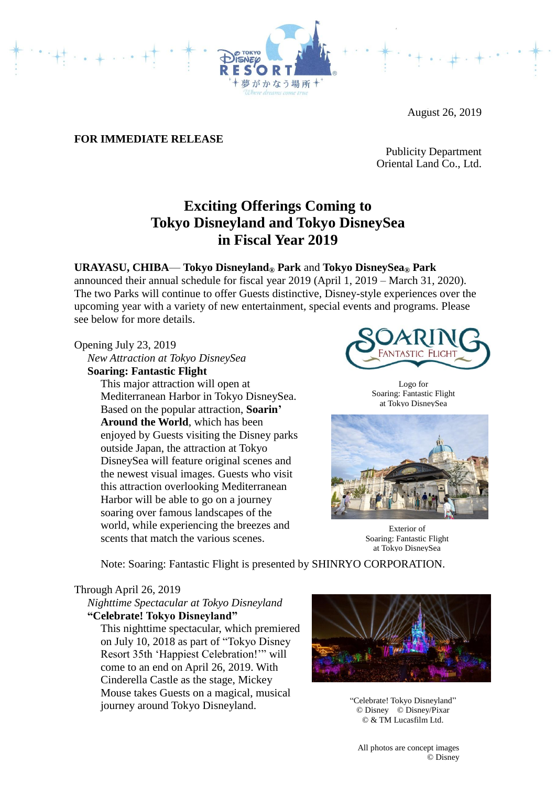

August 26, 2019

# **FOR IMMEDIATE RELEASE**

Publicity Department Oriental Land Co., Ltd.

# **Exciting Offerings Coming to Tokyo Disneyland and Tokyo DisneySea in Fiscal Year 2019**

## **URAYASU, CHIBA**— **Tokyo Disneyland® Park** and **Tokyo DisneySea® Park**

announced their annual schedule for fiscal year 2019 (April 1, 2019 – March 31, 2020). The two Parks will continue to offer Guests distinctive, Disney-style experiences over the upcoming year with a variety of new entertainment, special events and programs. Please see below for more details.

### Opening July 23, 2019

*New Attraction at Tokyo DisneySea* **Soaring: Fantastic Flight**

This major attraction will open at Mediterranean Harbor in Tokyo DisneySea. Based on the popular attraction, **Soarin' Around the World**, which has been enjoyed by Guests visiting the Disney parks outside Japan, the attraction at Tokyo DisneySea will feature original scenes and the newest visual images. Guests who visit this attraction overlooking Mediterranean Harbor will be able to go on a journey soaring over famous landscapes of the world, while experiencing the breezes and scents that match the various scenes.



Logo for Soaring: Fantastic Flight at Tokyo DisneySea



Exterior of Soaring: Fantastic Flight at Tokyo DisneySea

Note: Soaring: Fantastic Flight is presented by SHINRYO CORPORATION.

### Through April 26, 2019

*Nighttime Spectacular at Tokyo Disneyland* **"Celebrate! Tokyo Disneyland"**

This nighttime spectacular, which premiered on July 10, 2018 as part of "Tokyo Disney Resort 35th 'Happiest Celebration!'" will come to an end on April 26, 2019. With Cinderella Castle as the stage, Mickey Mouse takes Guests on a magical, musical journey around Tokyo Disneyland.



"Celebrate! Tokyo Disneyland" © Disney © Disney/Pixar © & TM Lucasfilm Ltd.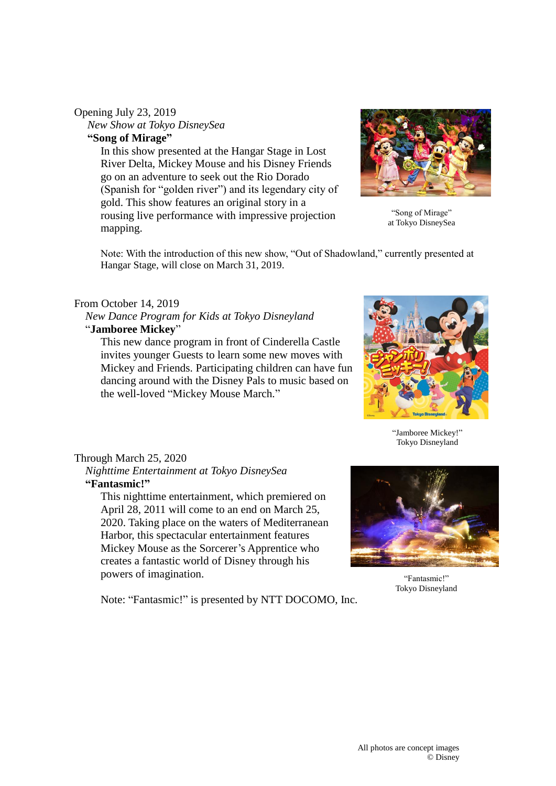# Opening July 23, 2019 *New Show at Tokyo DisneySea*

**"Song of Mirage"**

In this show presented at the Hangar Stage in Lost River Delta, Mickey Mouse and his Disney Friends go on an adventure to seek out the Rio Dorado (Spanish for "golden river") and its legendary city of gold. This show features an original story in a rousing live performance with impressive projection mapping.



"Song of Mirage" at Tokyo DisneySea

Note: With the introduction of this new show, "Out of Shadowland," currently presented at Hangar Stage, will close on March 31, 2019.

## From October 14, 2019

 *New Dance Program for Kids at Tokyo Disneyland* "**Jamboree Mickey**"

This new dance program in front of Cinderella Castle invites younger Guests to learn some new moves with Mickey and Friends. Participating children can have fun dancing around with the Disney Pals to music based on the well-loved "Mickey Mouse March."



"Jamboree Mickey!" Tokyo Disneyland

## Through March 25, 2020

*Nighttime Entertainment at Tokyo DisneySea* **"Fantasmic!"**

This nighttime entertainment, which premiered on April 28, 2011 will come to an end on March 25, 2020. Taking place on the waters of Mediterranean Harbor, this spectacular entertainment features Mickey Mouse as the Sorcerer's Apprentice who creates a fantastic world of Disney through his powers of imagination.

Note: "Fantasmic!" is presented by NTT DOCOMO, Inc.



"Fantasmic!" Tokyo Disneyland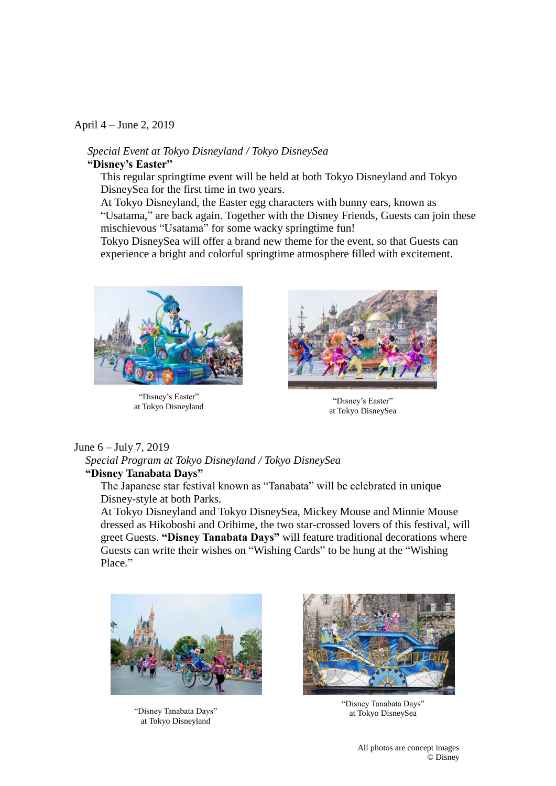#### April 4 – June 2, 2019

### *Special Event at Tokyo Disneyland / Tokyo DisneySea* **"Disney's Easter"**

This regular springtime event will be held at both Tokyo Disneyland and Tokyo DisneySea for the first time in two years.

At Tokyo Disneyland, the Easter egg characters with bunny ears, known as "Usatama," are back again. Together with the Disney Friends, Guests can join these mischievous "Usatama" for some wacky springtime fun!

Tokyo DisneySea will offer a brand new theme for the event, so that Guests can experience a bright and colorful springtime atmosphere filled with excitement.



"Disney's Easter" at Tokyo Disneyland "Disney's Easter"



at Tokyo DisneySea

### June 6 – July 7, 2019

*Special Program at Tokyo Disneyland / Tokyo DisneySea* **"Disney Tanabata Days"** 

The Japanese star festival known as "Tanabata" will be celebrated in unique Disney-style at both Parks.

At Tokyo Disneyland and Tokyo DisneySea, Mickey Mouse and Minnie Mouse dressed as Hikoboshi and Orihime, the two star-crossed lovers of this festival, will greet Guests. **"Disney Tanabata Days"** will feature traditional decorations where Guests can write their wishes on "Wishing Cards" to be hung at the "Wishing Place."



"Disney Tanabata Days" at Tokyo Disneyland



"Disney Tanabata Days" at Tokyo DisneySea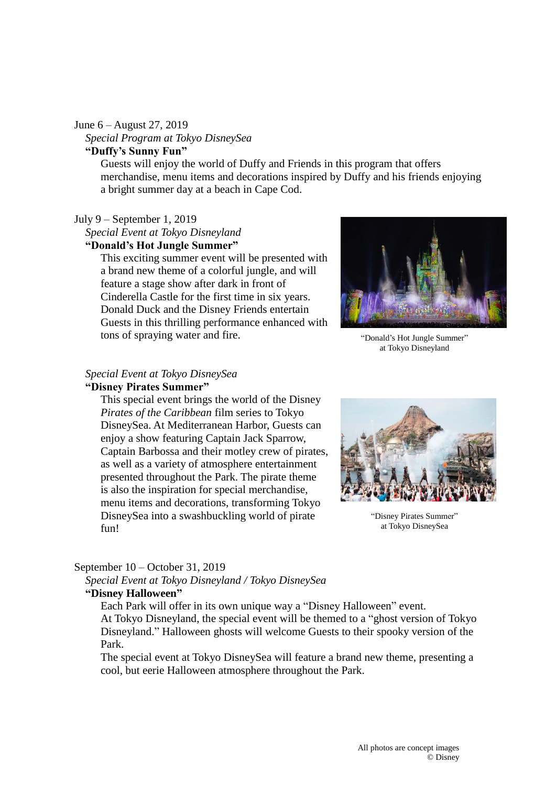#### June 6 – August 27, 2019

*Special Program at Tokyo DisneySea*

# **"Duffy's Sunny Fun"**

Guests will enjoy the world of Duffy and Friends in this program that offers merchandise, menu items and decorations inspired by Duffy and his friends enjoying a bright summer day at a beach in Cape Cod.

#### July 9 – September 1, 2019

*Special Event at Tokyo Disneyland*

#### **"Donald's Hot Jungle Summer"**

This exciting summer event will be presented with a brand new theme of a colorful jungle, and will feature a stage show after dark in front of Cinderella Castle for the first time in six years. Donald Duck and the Disney Friends entertain Guests in this thrilling performance enhanced with tons of spraying water and fire.



"Donald's Hot Jungle Summer" at Tokyo Disneyland

## *Special Event at Tokyo DisneySea*

## **"Disney Pirates Summer"**

This special event brings the world of the Disney *Pirates of the Caribbean* film series to Tokyo DisneySea. At Mediterranean Harbor, Guests can enjoy a show featuring Captain Jack Sparrow, Captain Barbossa and their motley crew of pirates, as well as a variety of atmosphere entertainment presented throughout the Park. The pirate theme is also the inspiration for special merchandise, menu items and decorations, transforming Tokyo DisneySea into a swashbuckling world of pirate fun!



"Disney Pirates Summer" at Tokyo DisneySea

### September 10 – October 31, 2019

*Special Event at Tokyo Disneyland / Tokyo DisneySea*

# **"Disney Halloween"**

Each Park will offer in its own unique way a "Disney Halloween" event. At Tokyo Disneyland, the special event will be themed to a "ghost version of Tokyo Disneyland." Halloween ghosts will welcome Guests to their spooky version of the Park.

The special event at Tokyo DisneySea will feature a brand new theme, presenting a cool, but eerie Halloween atmosphere throughout the Park.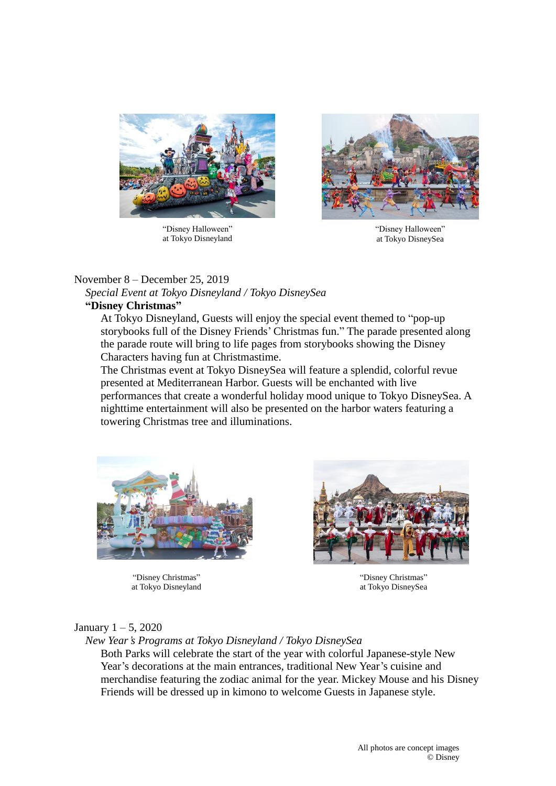

"Disney Halloween" at Tokyo Disneyland



"Disney Halloween" at Tokyo DisneySea

## November 8 – December 25, 2019

*Special Event at Tokyo Disneyland / Tokyo DisneySea*

# **"Disney Christmas"**

At Tokyo Disneyland, Guests will enjoy the special event themed to "pop-up storybooks full of the Disney Friends' Christmas fun." The parade presented along the parade route will bring to life pages from storybooks showing the Disney Characters having fun at Christmastime.

The Christmas event at Tokyo DisneySea will feature a splendid, colorful revue presented at Mediterranean Harbor. Guests will be enchanted with live performances that create a wonderful holiday mood unique to Tokyo DisneySea. A nighttime entertainment will also be presented on the harbor waters featuring a towering Christmas tree and illuminations.



"Disney Christmas" at Tokyo Disneyland



"Disney Christmas" at Tokyo DisneySea

# January  $1 - 5$ , 2020

*New Year's Programs at Tokyo Disneyland / Tokyo DisneySea*

Both Parks will celebrate the start of the year with colorful Japanese-style New Year's decorations at the main entrances, traditional New Year's cuisine and merchandise featuring the zodiac animal for the year. Mickey Mouse and his Disney Friends will be dressed up in kimono to welcome Guests in Japanese style.